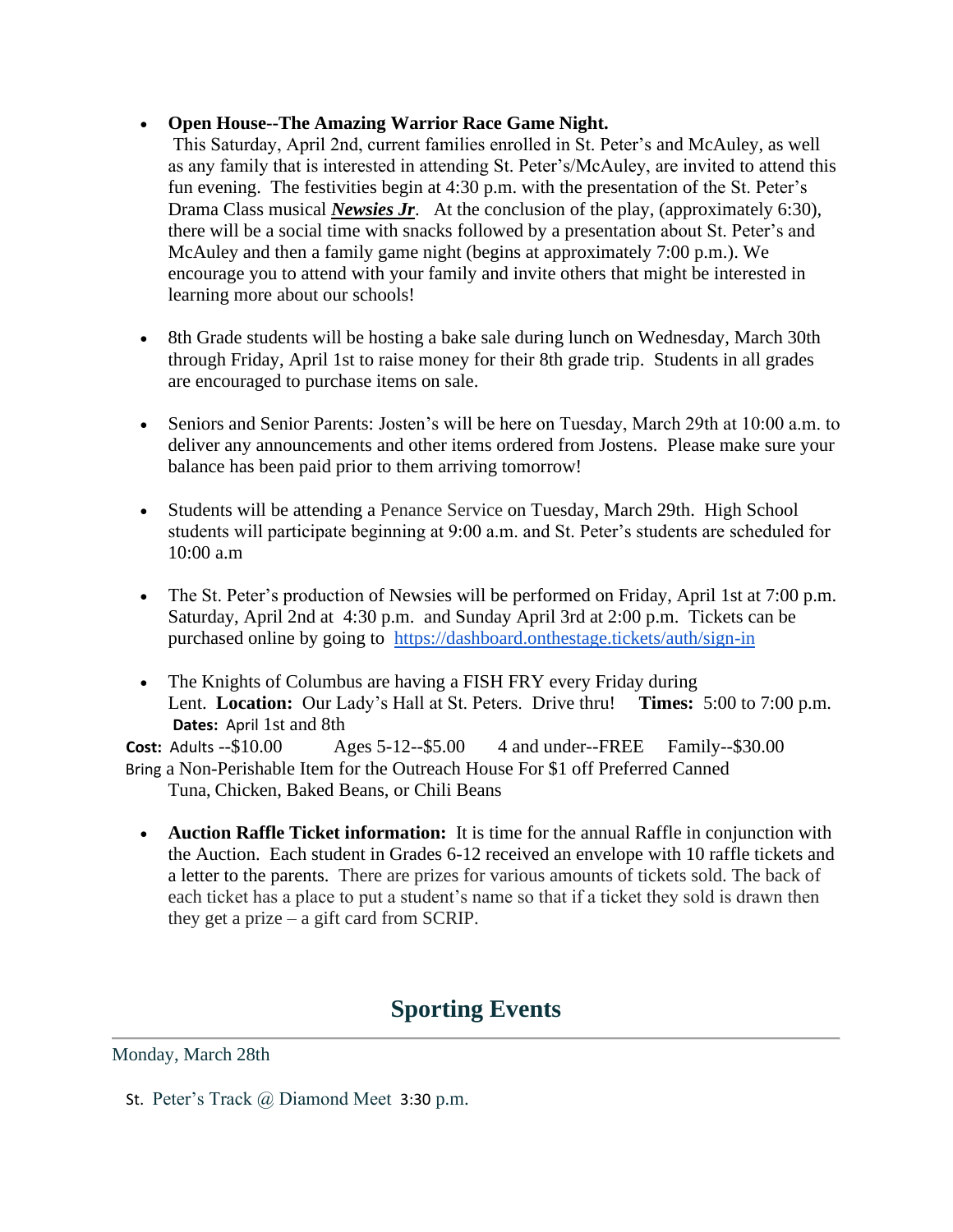#### • **Open House--The Amazing Warrior Race Game Night.**

This Saturday, April 2nd, current families enrolled in St. Peter's and McAuley, as well as any family that is interested in attending St. Peter's/McAuley, are invited to attend this fun evening. The festivities begin at 4:30 p.m. with the presentation of the St. Peter's Drama Class musical *Newsies Jr*. At the conclusion of the play, (approximately 6:30), there will be a social time with snacks followed by a presentation about St. Peter's and McAuley and then a family game night (begins at approximately 7:00 p.m.). We encourage you to attend with your family and invite others that might be interested in learning more about our schools!

- 8th Grade students will be hosting a bake sale during lunch on Wednesday, March 30th through Friday, April 1st to raise money for their 8th grade trip. Students in all grades are encouraged to purchase items on sale.
- Seniors and Senior Parents: Josten's will be here on Tuesday, March 29th at 10:00 a.m. to deliver any announcements and other items ordered from Jostens. Please make sure your balance has been paid prior to them arriving tomorrow!
- Students will be attending a Penance Service on Tuesday, March 29th. High School students will participate beginning at 9:00 a.m. and St. Peter's students are scheduled for 10:00 a.m
- The St. Peter's production of Newsies will be performed on Friday, April 1st at 7:00 p.m. Saturday, April 2nd at 4:30 p.m. and Sunday April 3rd at 2:00 p.m. Tickets can be purchased online by going to <https://dashboard.onthestage.tickets/auth/sign-in>
- The Knights of Columbus are having a FISH FRY every Friday during Lent. **Location:** Our Lady's Hall at St. Peters. Drive thru! **Times:** 5:00 to 7:00 p.m. **Dates:** April 1st and 8th

**Cost:** Adults --\$10.00 Ages 5-12--\$5.00 4 and under--FREE Family--\$30.00 Bring a Non-Perishable Item for the Outreach House For \$1 off Preferred Canned Tuna, Chicken, Baked Beans, or Chili Beans

• **Auction Raffle Ticket information:** It is time for the annual Raffle in conjunction with the Auction. Each student in Grades 6-12 received an envelope with 10 raffle tickets and a letter to the parents. There are prizes for various amounts of tickets sold. The back of each ticket has a place to put a student's name so that if a ticket they sold is drawn then they get a prize – a gift card from SCRIP.

# **Sporting Events**

Monday, March 28th

St. Peter's Track @ Diamond Meet 3:30 p.m.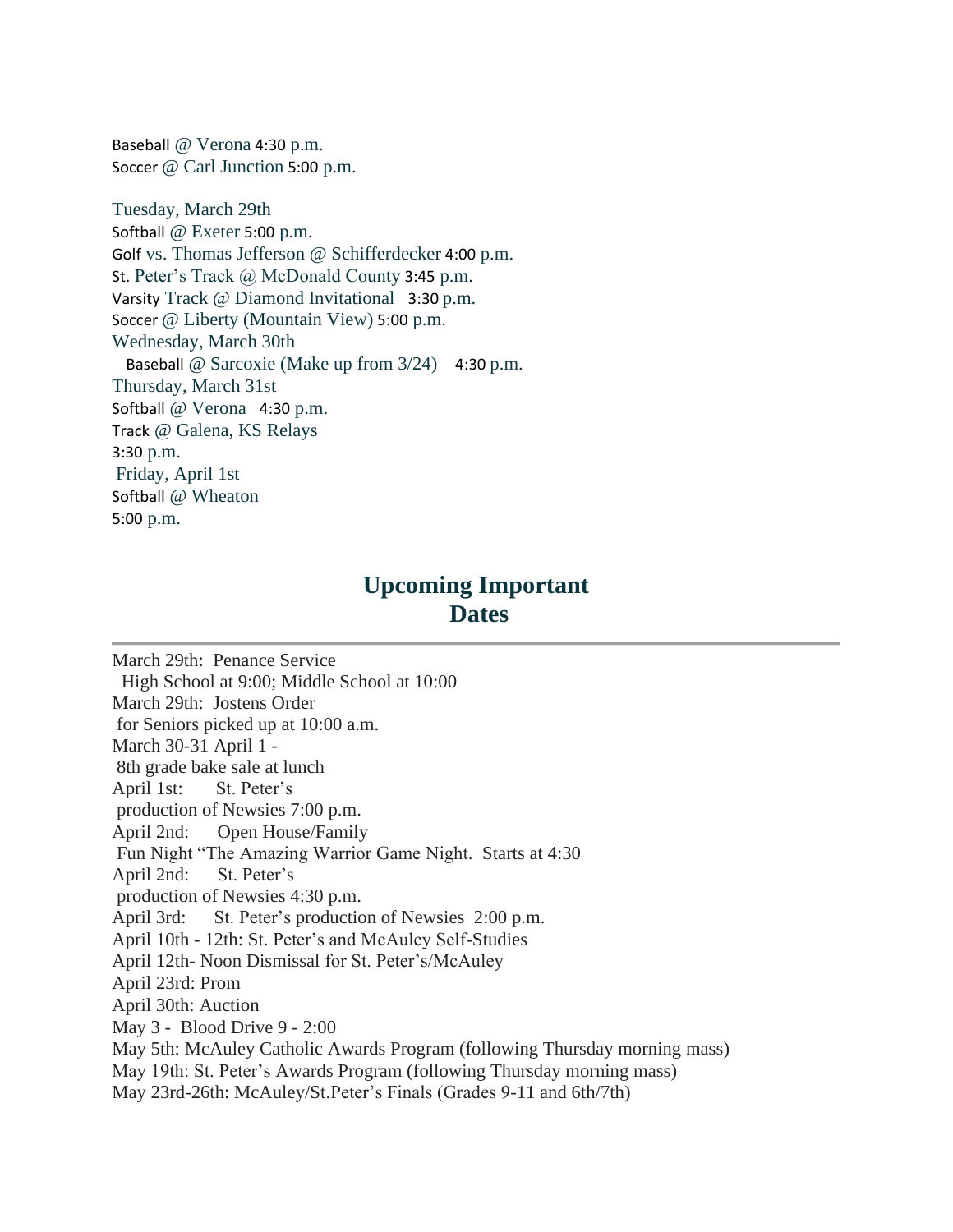Baseball @ Verona 4:30 p.m. Soccer @ Carl Junction 5:00 p.m.

Tuesday, March 29th Softball @ Exeter 5:00 p.m. Golf vs. Thomas Jefferson @ Schifferdecker 4:00 p.m. St. Peter's Track @ McDonald County 3:45 p.m. Varsity Track @ Diamond Invitational 3:30 p.m. Soccer @ Liberty (Mountain View) 5:00 p.m. Wednesday, March 30th Baseball @ Sarcoxie (Make up from 3/24) 4:30 p.m. Thursday, March 31st Softball @ Verona 4:30 p.m. Track @ Galena, KS Relays 3:30 p.m. Friday, April 1st Softball @ Wheaton 5:00 p.m.

## **Upcoming Important Dates**

March 29th: Penance Service High School at 9:00; Middle School at 10:00 March 29th: Jostens Order for Seniors picked up at 10:00 a.m. March 30-31 April 1 - 8th grade bake sale at lunch April 1st: St. Peter's production of Newsies 7:00 p.m. April 2nd: Open House/Family Fun Night "The Amazing Warrior Game Night. Starts at 4:30 April 2nd: St. Peter's production of Newsies 4:30 p.m. April 3rd: St. Peter's production of Newsies 2:00 p.m. April 10th - 12th: St. Peter's and McAuley Self-Studies April 12th- Noon Dismissal for St. Peter's/McAuley April 23rd: Prom April 30th: Auction May 3 - Blood Drive 9 - 2:00 May 5th: McAuley Catholic Awards Program (following Thursday morning mass) May 19th: St. Peter's Awards Program (following Thursday morning mass) May 23rd-26th: McAuley/St.Peter's Finals (Grades 9-11 and 6th/7th)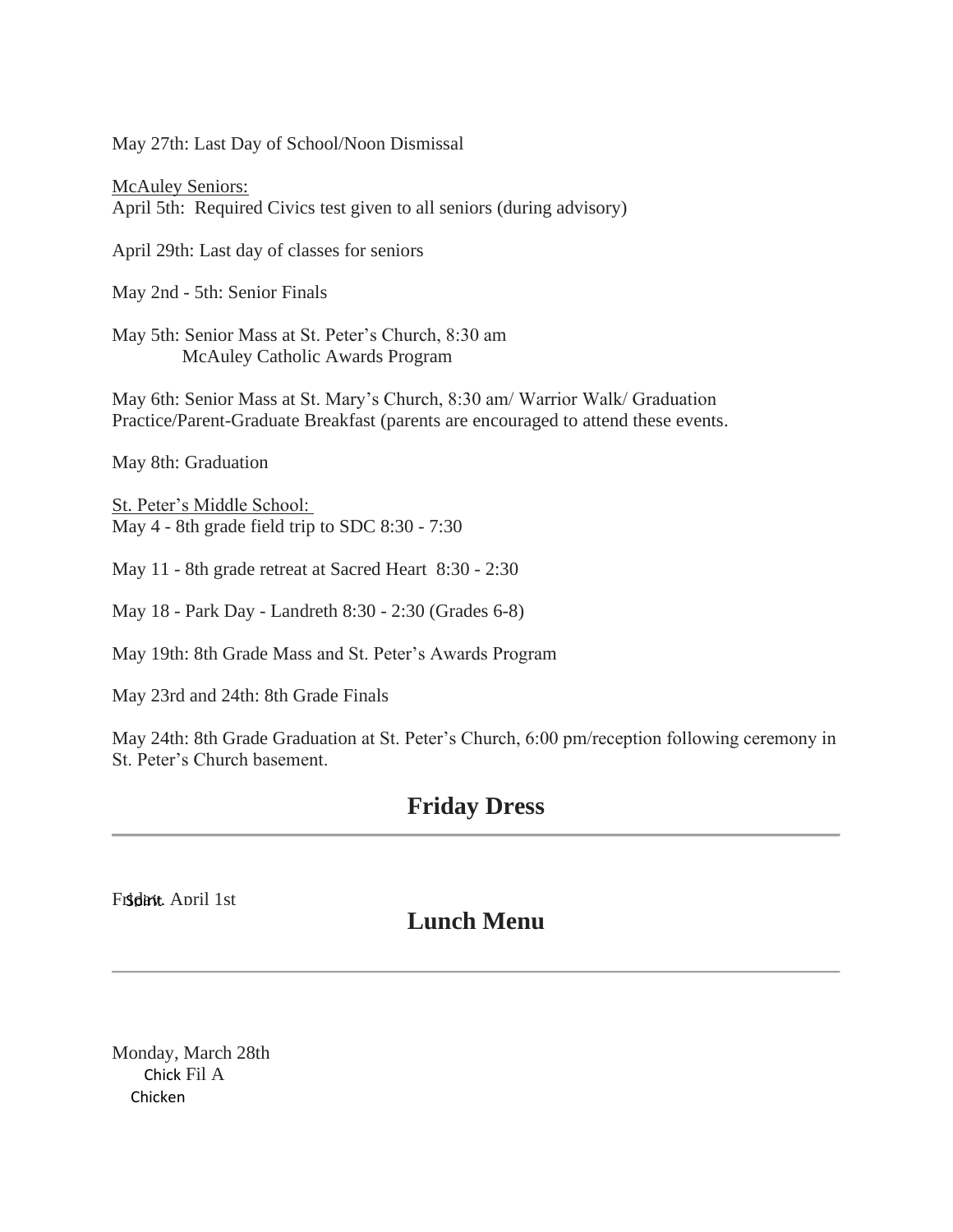May 27th: Last Day of School/Noon Dismissal

McAuley Seniors: April 5th: Required Civics test given to all seniors (during advisory)

April 29th: Last day of classes for seniors

May 2nd - 5th: Senior Finals

May 5th: Senior Mass at St. Peter's Church, 8:30 am McAuley Catholic Awards Program

May 6th: Senior Mass at St. Mary's Church, 8:30 am/ Warrior Walk/ Graduation Practice/Parent-Graduate Breakfast (parents are encouraged to attend these events.

May 8th: Graduation

St. Peter's Middle School: May 4 - 8th grade field trip to SDC 8:30 - 7:30

May 11 - 8th grade retreat at Sacred Heart 8:30 - 2:30

May 18 - Park Day - Landreth 8:30 - 2:30 (Grades 6-8)

May 19th: 8th Grade Mass and St. Peter's Awards Program

May 23rd and 24th: 8th Grade Finals

May 24th: 8th Grade Graduation at St. Peter's Church, 6:00 pm/reception following ceremony in St. Peter's Church basement.

### **Friday Dress**

Friday, April 1st

## **Lunch Menu**

Monday, March 28th Chick Fil A Chicken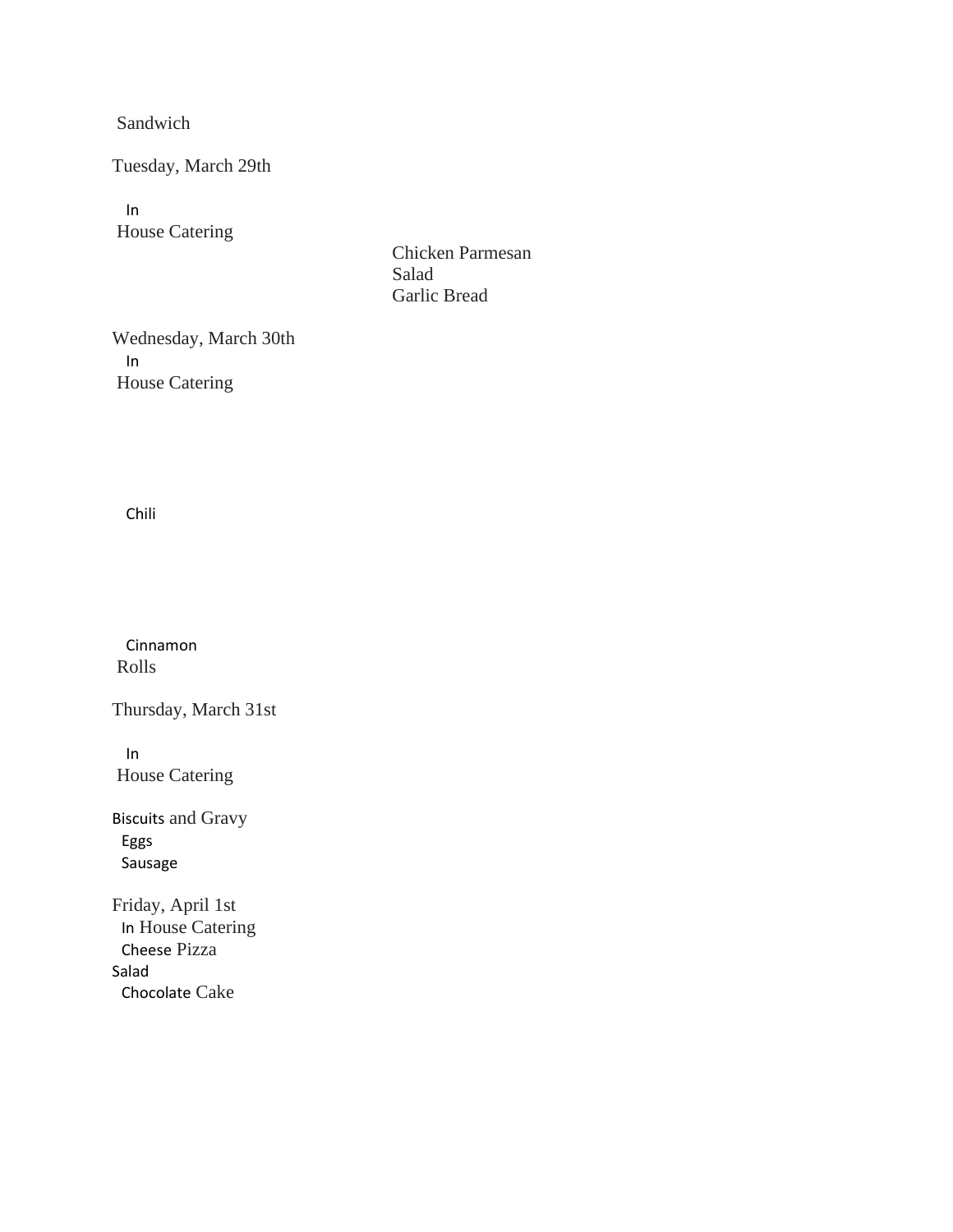Sandwich

Tuesday, March 29th

In House Catering

Chicken Parmesan Salad Garlic Bread

Wednesday, March 30th In House Catering

Chili

Cinnamon Rolls

Thursday, March 31st

In House Catering

Biscuits and Gravy Eggs Sausage

Friday, April 1st In House Catering Cheese Pizza Salad Chocolate Cake